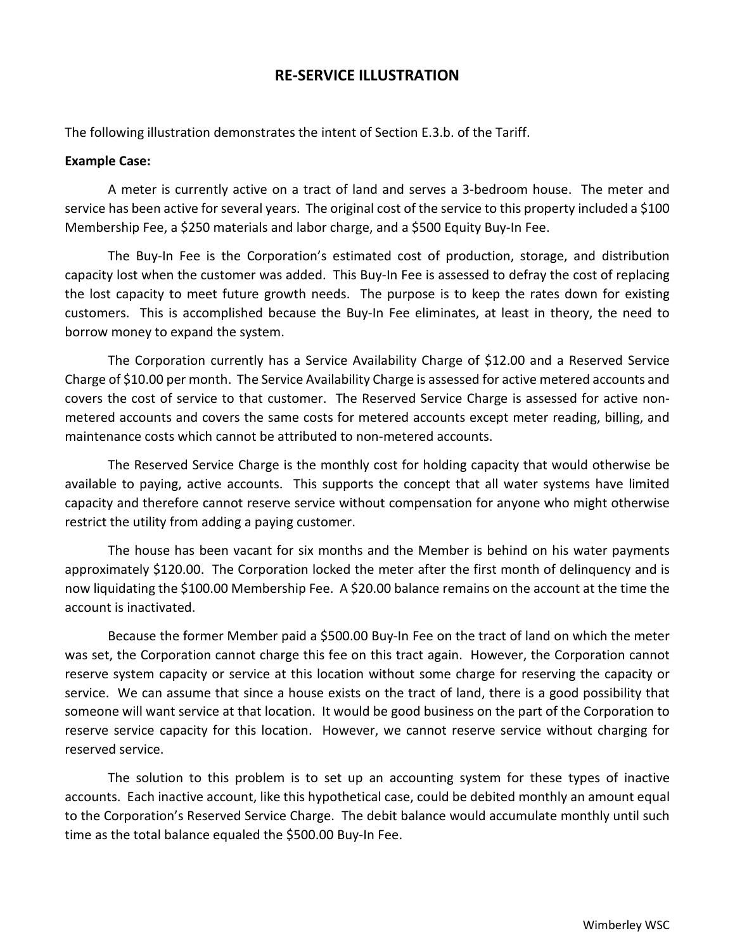## **RE-SERVICE ILLUSTRATION**

The following illustration demonstrates the intent of Section E.3.b. of the Tariff.

## **Example Case:**

A meter is currently active on a tract of land and serves a 3-bedroom house. The meter and service has been active for several years. The original cost of the service to this property included a \$100 Membership Fee, a \$250 materials and labor charge, and a \$500 Equity Buy-In Fee.

The Buy-In Fee is the Corporation's estimated cost of production, storage, and distribution capacity lost when the customer was added. This Buy-In Fee is assessed to defray the cost of replacing the lost capacity to meet future growth needs. The purpose is to keep the rates down for existing customers. This is accomplished because the Buy-In Fee eliminates, at least in theory, the need to borrow money to expand the system.

The Corporation currently has a Service Availability Charge of \$12.00 and a Reserved Service Charge of \$10.00 per month. The Service Availability Charge is assessed for active metered accounts and covers the cost of service to that customer. The Reserved Service Charge is assessed for active nonmetered accounts and covers the same costs for metered accounts except meter reading, billing, and maintenance costs which cannot be attributed to non-metered accounts.

The Reserved Service Charge is the monthly cost for holding capacity that would otherwise be available to paying, active accounts. This supports the concept that all water systems have limited capacity and therefore cannot reserve service without compensation for anyone who might otherwise restrict the utility from adding a paying customer.

The house has been vacant for six months and the Member is behind on his water payments approximately \$120.00. The Corporation locked the meter after the first month of delinquency and is now liquidating the \$100.00 Membership Fee. A \$20.00 balance remains on the account at the time the account is inactivated.

Because the former Member paid a \$500.00 Buy-In Fee on the tract of land on which the meter was set, the Corporation cannot charge this fee on this tract again. However, the Corporation cannot reserve system capacity or service at this location without some charge for reserving the capacity or service. We can assume that since a house exists on the tract of land, there is a good possibility that someone will want service at that location. It would be good business on the part of the Corporation to reserve service capacity for this location. However, we cannot reserve service without charging for reserved service.

The solution to this problem is to set up an accounting system for these types of inactive accounts. Each inactive account, like this hypothetical case, could be debited monthly an amount equal to the Corporation's Reserved Service Charge. The debit balance would accumulate monthly until such time as the total balance equaled the \$500.00 Buy-In Fee.